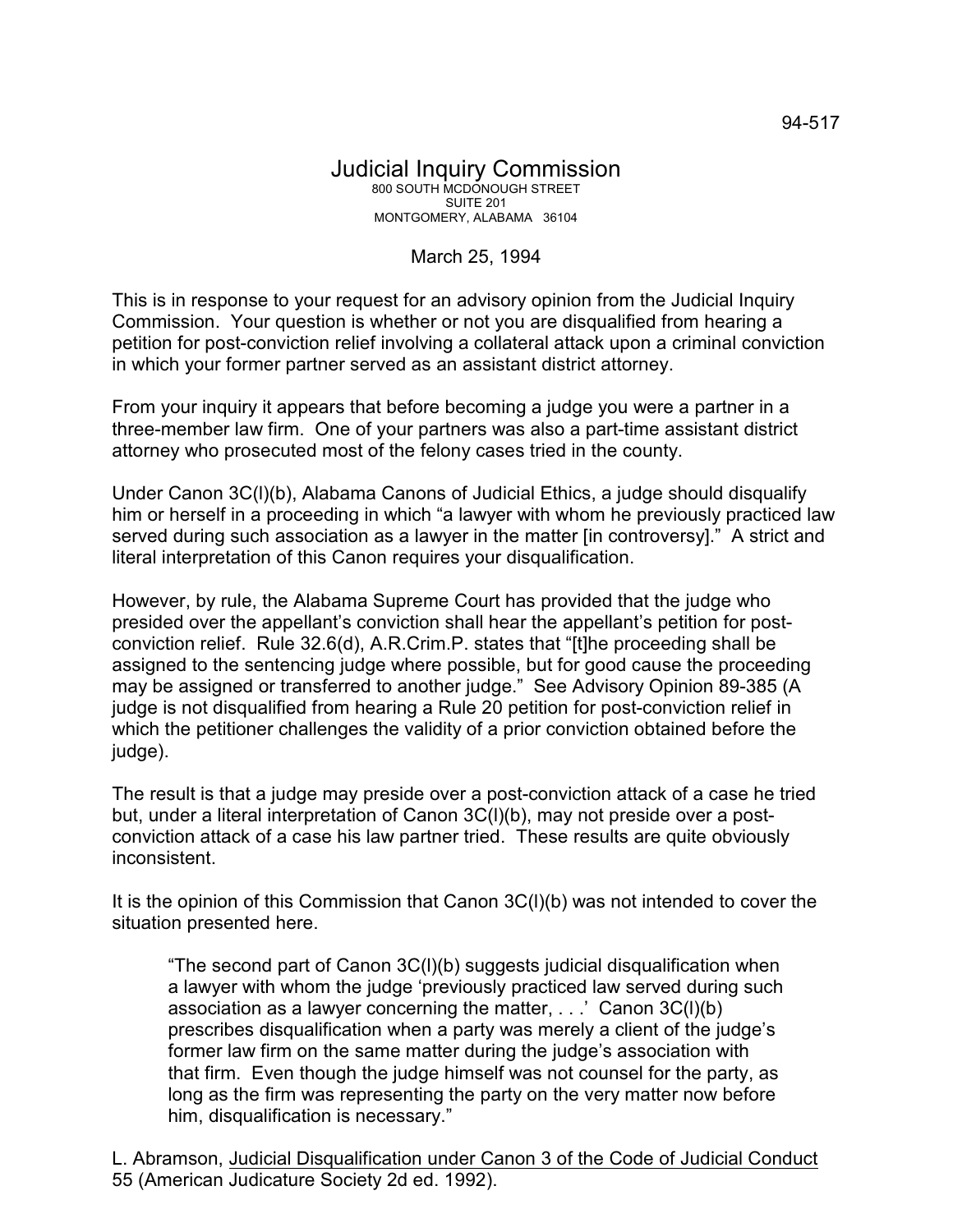## March 25, 1994

This is in response to your request for an advisory opinion from the Judicial Inquiry Commission. Your question is whether or not you are disqualified from hearing a petition for post-conviction relief involving a collateral attack upon a criminal conviction in which your former partner served as an assistant district attorney.

From your inquiry it appears that before becoming a judge you were a partner in a three-member law firm. One of your partners was also a part-time assistant district attorney who prosecuted most of the felony cases tried in the county.

Under Canon 3C(l)(b), Alabama Canons of Judicial Ethics, a judge should disqualify him or herself in a proceeding in which "a lawyer with whom he previously practiced law served during such association as a lawyer in the matter [in controversy]." A strict and literal interpretation of this Canon requires your disqualification.

However, by rule, the Alabama Supreme Court has provided that the judge who presided over the appellant's conviction shall hear the appellant's petition for postconviction relief. Rule 32.6(d), A.R.Crim.P. states that "[t]he proceeding shall be assigned to the sentencing judge where possible, but for good cause the proceeding may be assigned or transferred to another judge." See Advisory Opinion 89-385 (A judge is not disqualified from hearing a Rule 20 petition for post-conviction relief in which the petitioner challenges the validity of a prior conviction obtained before the judge).

The result is that a judge may preside over a post-conviction attack of a case he tried but, under a literal interpretation of Canon 3C(l)(b), may not preside over a postconviction attack of a case his law partner tried. These results are quite obviously inconsistent.

It is the opinion of this Commission that Canon 3C(l)(b) was not intended to cover the situation presented here.

"The second part of Canon 3C(l)(b) suggests judicial disqualification when a lawyer with whom the judge 'previously practiced law served during such association as a lawyer concerning the matter, . . .' Canon 3C(l)(b) prescribes disqualification when a party was merely a client of the judge's former law firm on the same matter during the judge's association with that firm. Even though the judge himself was not counsel for the party, as long as the firm was representing the party on the very matter now before him, disqualification is necessary."

L. Abramson, Judicial Disqualification under Canon 3 of the Code of Judicial Conduct 55 (American Judicature Society 2d ed. 1992).